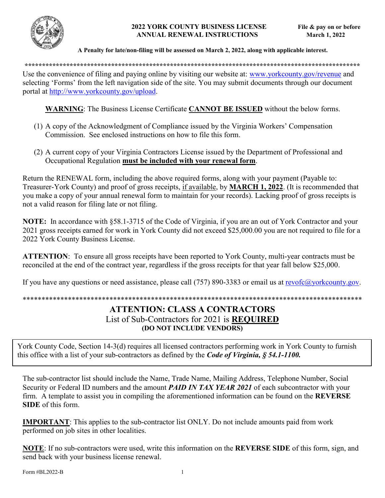

### **2022 YORK COUNTY BUSINESS LICENSE File & pay on or before ANNUAL RENEWAL INSTRUCTIONS March 1, 2022**

## **A Penalty for late/non-filing will be assessed on March 2, 2022, along with applicable interest.**

**\*\*\*\*\*\*\*\*\*\*\*\*\*\*\*\*\*\*\*\*\*\*\*\*\*\*\*\*\*\*\*\*\*\*\*\*\*\*\*\*\*\*\*\*\*\*\*\*\*\*\*\*\*\*\*\*\*\*\*\*\*\*\*\*\*\*\*\*\*\*\*\*\*\*\*\*\*\*\*\*\*\*\*\*\*\*\*\*\*\*\*\*\*\*\*\*\*** 

Use the convenience of filing and paying online by visiting our website at: [www.yorkcounty.gov/revenue](http://www.yorkcounty.gov/revenue) and selecting 'Forms' from the left navigation side of the site. You may submit documents through our document portal at [http://www.yorkcounty.gov/upload.](http://www.yorkcounty.gov/upload)

**WARNING**: The Business License Certificate **CANNOT BE ISSUED** without the below forms.

- (1) A copy of the Acknowledgment of Compliance issued by the Virginia Workers' Compensation Commission. See enclosed instructions on how to file this form.
- (2) A current copy of your Virginia Contractors License issued by the Department of Professional and Occupational Regulation **must be included with your renewal form**.

Return the RENEWAL form, including the above required forms, along with your payment (Payable to: Treasurer-York County) and proof of gross receipts, if available, by **MARCH 1, 2022**. (It is recommended that you make a copy of your annual renewal form to maintain for your records). Lacking proof of gross receipts is not a valid reason for filing late or not filing.

**NOTE:** In accordance with §58.1-3715 of the Code of Virginia, if you are an out of York Contractor and your 2021 gross receipts earned for work in York County did not exceed \$25,000.00 you are not required to file for a 2022 York County Business License.

**ATTENTION**: To ensure all gross receipts have been reported to York County, multi-year contracts must be reconciled at the end of the contract year, regardless if the gross receipts for that year fall below \$25,000.

If you have any questions or need assistance, please call (757) 890-3383 or email us at [revofc@yorkcounty.gov.](mailto:revofc@yorkcounty.gov)

## \*\*\*\*\*\*\*\*\*\*\*\*\*\*\*\*\*\*\*\*\*\*\*\*\*\*\*\*\*\*\*\*\*\*\*\*\*\*\*\*\*\*\*\*\*\*\*\*\*\*\*\*\*\*\*\*\*\*\*\*\*\*\*\*\*\*\*\*\*\*\*\*\*\*\*\*\*\*\*\*\*\*\*\*\*\*\*\*\*\*

# **ATTENTION: CLASS A CONTRACTORS** List of Sub-Contractors for 2021 is **REQUIRED (DO NOT INCLUDE VENDORS)**

York County Code, Section 14-3(d) requires all licensed contractors performing work in York County to furnish this office with a list of your sub-contractors as defined by the *Code of Virginia, § 54.1-1100.* 

The sub-contractor list should include the Name, Trade Name, Mailing Address, Telephone Number, Social Security or Federal ID numbers and the amount *PAID IN TAX YEAR 2021* of each subcontractor with your firm. A template to assist you in compiling the aforementioned information can be found on the **REVERSE SIDE** of this form.

**IMPORTANT**: This applies to the sub-contractor list ONLY. Do not include amounts paid from work performed on job sites in other localities.

**NOTE**: If no sub-contractors were used, write this information on the **REVERSE SIDE** of this form, sign, and send back with your business license renewal.